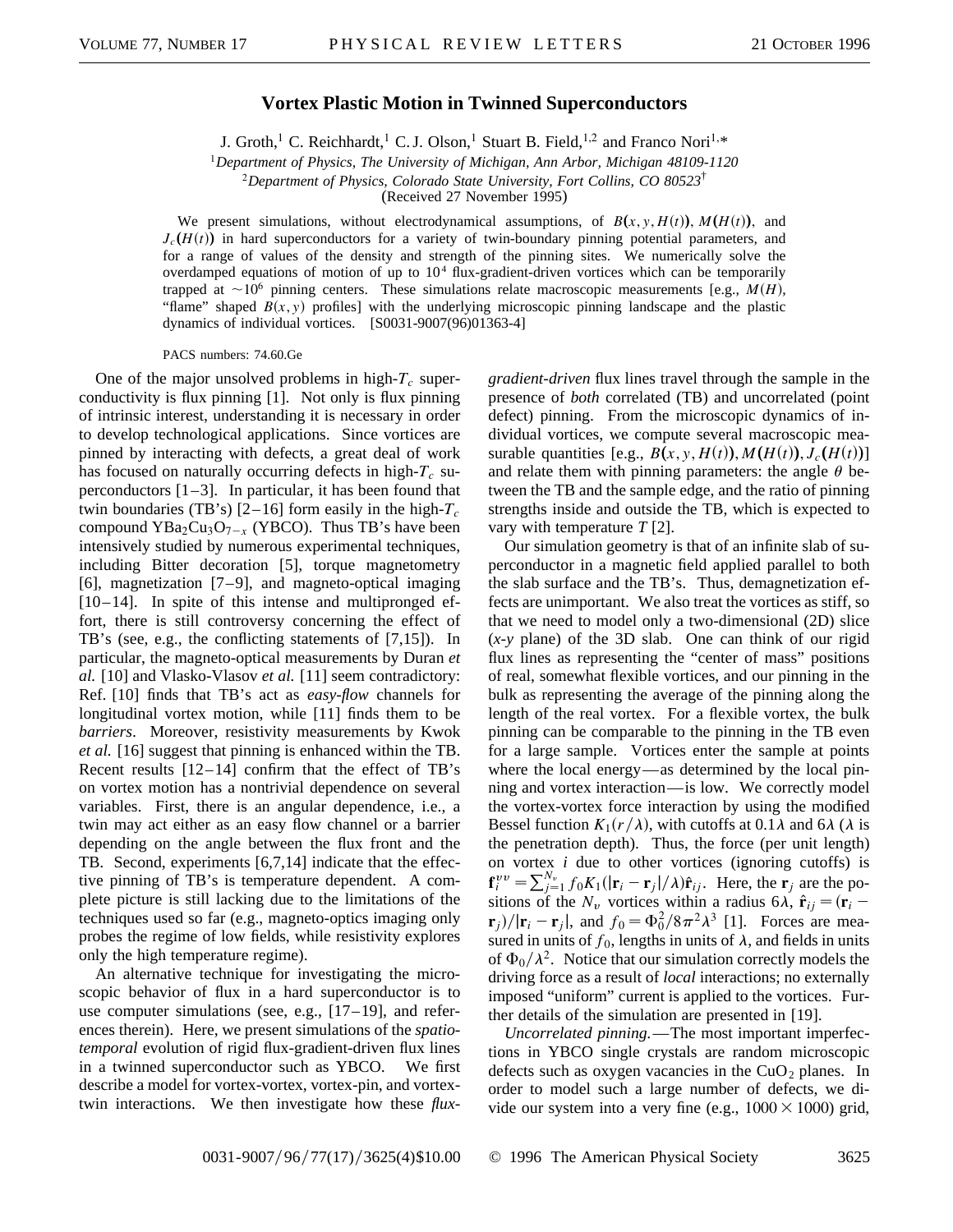## **Vortex Plastic Motion in Twinned Superconductors**

J. Groth,<sup>1</sup> C. Reichhardt,<sup>1</sup> C. J. Olson,<sup>1</sup> Stuart B. Field,<sup>1,2</sup> and Franco Nori<sup>1,\*</sup>

<sup>1</sup>*Department of Physics, The University of Michigan, Ann Arbor, Michigan 48109-1120*

<sup>2</sup>*Department of Physics, Colorado State University, Fort Collins, CO 80523*†

(Received 27 November 1995)

We present simulations, without electrodynamical assumptions, of  $B(x, y, H(t))$ ,  $M(H(t))$ , and  $J_c(H(t))$  in hard superconductors for a variety of twin-boundary pinning potential parameters, and for a range of values of the density and strength of the pinning sites. We numerically solve the overdamped equations of motion of up to  $10<sup>4</sup>$  flux-gradient-driven vortices which can be temporarily trapped at  $\sim$ 10<sup>6</sup> pinning centers. These simulations relate macroscopic measurements [e.g., *M(H)*, "flame" shaped  $B(x, y)$  profiles] with the underlying microscopic pinning landscape and the plastic dynamics of individual vortices. [S0031-9007(96)01363-4]

PACS numbers: 74.60.Ge

One of the major unsolved problems in high- $T_c$  superconductivity is flux pinning [1]. Not only is flux pinning of intrinsic interest, understanding it is necessary in order to develop technological applications. Since vortices are pinned by interacting with defects, a great deal of work has focused on naturally occurring defects in high- $T_c$  superconductors [1–3]. In particular, it has been found that twin boundaries (TB's)  $[2-16]$  form easily in the high- $T_c$ compound  $YBa<sub>2</sub>Cu<sub>3</sub>O<sub>7-x</sub>$  (YBCO). Thus TB's have been intensively studied by numerous experimental techniques, including Bitter decoration [5], torque magnetometry [6], magnetization [7–9], and magneto-optical imaging  $[10-14]$ . In spite of this intense and multipronged effort, there is still controversy concerning the effect of TB's (see, e.g., the conflicting statements of [7,15]). In particular, the magneto-optical measurements by Duran *et al.* [10] and Vlasko-Vlasov *et al.* [11] seem contradictory: Ref. [10] finds that TB's act as *easy-flow* channels for longitudinal vortex motion, while [11] finds them to be *barriers*. Moreover, resistivity measurements by Kwok *et al.* [16] suggest that pinning is enhanced within the TB. Recent results  $[12-14]$  confirm that the effect of TB's on vortex motion has a nontrivial dependence on several variables. First, there is an angular dependence, i.e., a twin may act either as an easy flow channel or a barrier depending on the angle between the flux front and the TB. Second, experiments [6,7,14] indicate that the effective pinning of TB's is temperature dependent. A complete picture is still lacking due to the limitations of the techniques used so far (e.g., magneto-optics imaging only probes the regime of low fields, while resistivity explores only the high temperature regime).

An alternative technique for investigating the microscopic behavior of flux in a hard superconductor is to use computer simulations (see, e.g.,  $[17-19]$ , and references therein). Here, we present simulations of the *spatiotemporal* evolution of rigid flux-gradient-driven flux lines in a twinned superconductor such as YBCO. We first describe a model for vortex-vortex, vortex-pin, and vortextwin interactions. We then investigate how these *flux-* *gradient-driven* flux lines travel through the sample in the presence of *both* correlated (TB) and uncorrelated (point defect) pinning. From the microscopic dynamics of individual vortices, we compute several macroscopic measurable quantities [e.g.,  $B(x, y, H(t)), M(H(t)), J_c(H(t))$ ] and relate them with pinning parameters: the angle  $\theta$  between the TB and the sample edge, and the ratio of pinning strengths inside and outside the TB, which is expected to vary with temperature *T* [2].

Our simulation geometry is that of an infinite slab of superconductor in a magnetic field applied parallel to both the slab surface and the TB's. Thus, demagnetization effects are unimportant. We also treat the vortices as stiff, so that we need to model only a two-dimensional (2D) slice (*x*-*y* plane) of the 3D slab. One can think of our rigid flux lines as representing the "center of mass" positions of real, somewhat flexible vortices, and our pinning in the bulk as representing the average of the pinning along the length of the real vortex. For a flexible vortex, the bulk pinning can be comparable to the pinning in the TB even for a large sample. Vortices enter the sample at points where the local energy—as determined by the local pinning and vortex interaction—is low. We correctly model the vortex-vortex force interaction by using the modified Bessel function  $K_1(r/\lambda)$ , with cutoffs at 0.1 $\lambda$  and 6 $\lambda$  ( $\lambda$  is the penetration depth). Thus, the force (per unit length) on vortex *i* due to other vortices (ignoring cutoffs) is  $f_i^{\nu\nu} = \sum_{j=1}^{N_\nu} f_0 K_1(|\mathbf{r}_i - \mathbf{r}_j|/\lambda) \hat{\mathbf{r}}_{ij}$ . Here, the  $\mathbf{r}_j$  are the positions of the  $N_v$  vortices within a radius 6 $\lambda$ ,  $\hat{\mathbf{r}}_{ij} = (\mathbf{r}_i - \mathbf{r}_j)$  $\mathbf{r}_j$ / $|\mathbf{r}_i - \mathbf{r}_j|$ , and  $f_0 = \Phi_0^2 / 8\pi^2 \lambda^3$  [1]. Forces are measured in units of  $f_0$ , lengths in units of  $\lambda$ , and fields in units of  $\Phi_0/\lambda^2$ . Notice that our simulation correctly models the driving force as a result of *local* interactions; no externally imposed "uniform" current is applied to the vortices. Further details of the simulation are presented in [19].

*Uncorrelated pinning.*—The most important imperfections in YBCO single crystals are random microscopic defects such as oxygen vacancies in the  $CuO<sub>2</sub>$  planes. In order to model such a large number of defects, we divide our system into a very fine (e.g.,  $1000 \times 1000$ ) grid,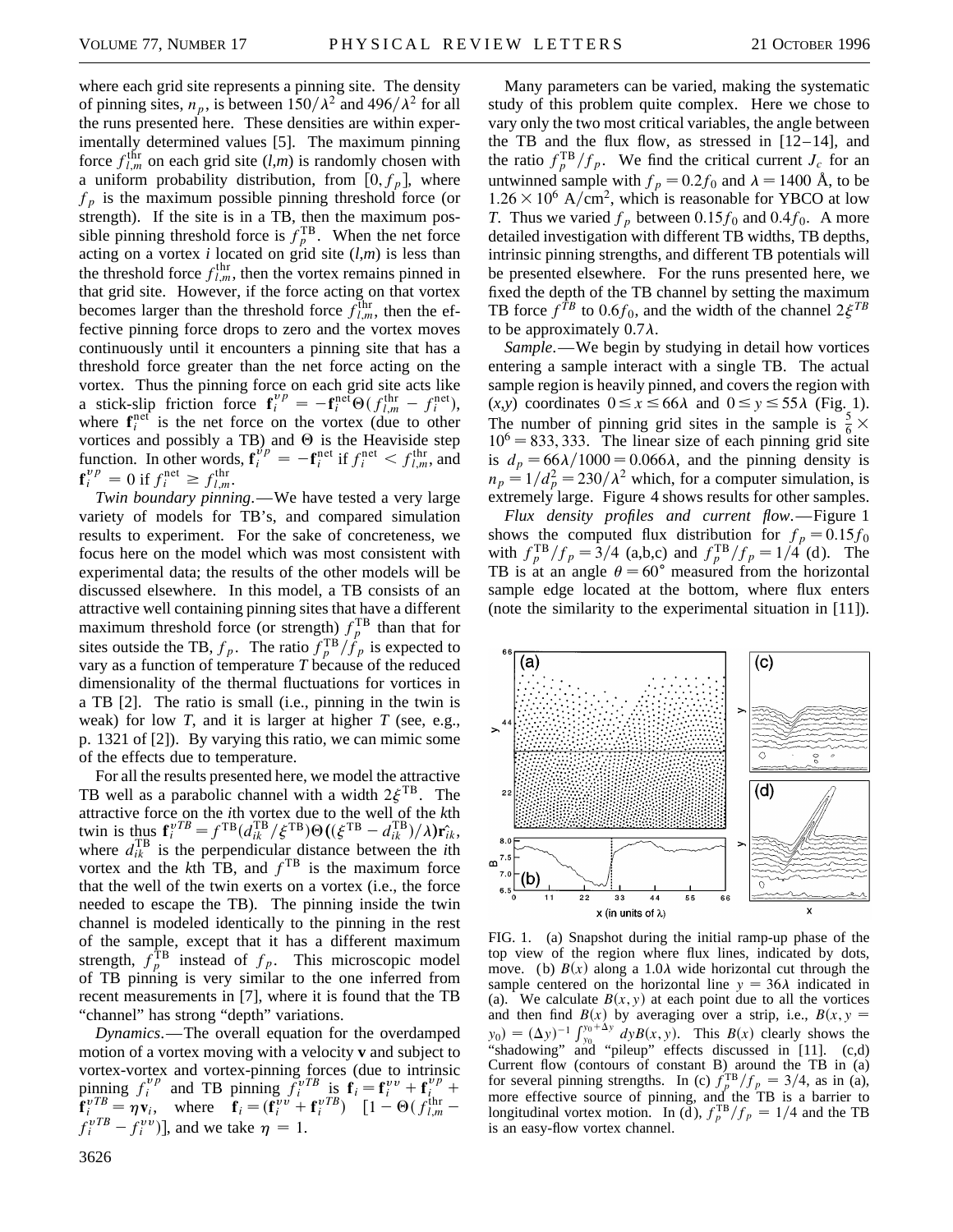where each grid site represents a pinning site. The density of pinning sites,  $n_p$ , is between  $150/\lambda^2$  and  $496/\lambda^2$  for all the runs presented here. These densities are within experimentally determined values [5]. The maximum pinning force  $f_{l,m}^{\text{thr}}$  on each grid site  $(l,m)$  is randomly chosen with a uniform probability distribution, from  $[0, f_p]$ , where  $f_p$  is the maximum possible pinning threshold force (or strength). If the site is in a TB, then the maximum possible pinning threshold force is  $f_p^{\text{TB}}$ . When the net force acting on a vortex *i* located on grid site  $(l,m)$  is less than the threshold force  $f_{l,m}^{\text{thr}}$ , then the vortex remains pinned in that grid site. However, if the force acting on that vortex becomes larger than the threshold force  $f_{l,m}^{\text{thr}}$ , then the effective pinning force drops to zero and the vortex moves continuously until it encounters a pinning site that has a threshold force greater than the net force acting on the vortex. Thus the pinning force on each grid site acts like a stick-slip friction force  $\mathbf{f}_i^{vp} = -\mathbf{f}_i^{\text{nef}} \Theta(f_{l,m}^{\text{thr}} - f_i^{\text{net}})$ , where  $f_i^{\text{net}}$  is the net force on the vortex (due to other vortices and possibly a TB) and  $\Theta$  is the Heaviside step function. In other words,  $\mathbf{f}_i^{v_p} = -\mathbf{f}_i^{\text{net}}$  if  $f_i^{\text{net}} < f_{l,m}^{\text{thr}}$ , and  $\mathbf{f}_i^{vp} = 0$  if  $f_i^{net} \ge f_{l,m}^{thr}$ .

*Twin boundary pinning*.—We have tested a very large variety of models for TB's, and compared simulation results to experiment. For the sake of concreteness, we focus here on the model which was most consistent with experimental data; the results of the other models will be discussed elsewhere. In this model, a TB consists of an attractive well containing pinning sites that have a different maximum threshold force (or strength)  $f_p^{\text{TB}}$  than that for sites outside the TB,  $f_p$ . The ratio  $f_p^{TB}/\dot{f}_p$  is expected to vary as a function of temperature *T* because of the reduced dimensionality of the thermal fluctuations for vortices in a TB [2]. The ratio is small (i.e., pinning in the twin is weak) for low *T*, and it is larger at higher *T* (see, e.g., p. 1321 of [2]). By varying this ratio, we can mimic some of the effects due to temperature.

For all the results presented here, we model the attractive TB well as a parabolic channel with a width  $2\xi^{TB}$ . The attractive force on the *i*th vortex due to the well of the *k*th twin is thus  $\mathbf{f}_i^{vTB} = f^{TB}(d_{ik}^{TB}/\xi^{TB})\Theta((\xi^{TB} - d_{ik}^{TB})/\lambda)\mathbf{r}_{ik}^2$ where  $d_{ik}^{TB}$  is the perpendicular distance between the *i*th vortex and the  $k$ th TB, and  $f<sup>TB</sup>$  is the maximum force that the well of the twin exerts on a vortex (i.e., the force needed to escape the TB). The pinning inside the twin channel is modeled identically to the pinning in the rest of the sample, except that it has a different maximum strength,  $f_p^{\text{TB}}$  instead of  $f_p$ . This microscopic model of TB pinning is very similar to the one inferred from recent measurements in [7], where it is found that the TB "channel" has strong "depth" variations.

*Dynamics*.—The overall equation for the overdamped motion of a vortex moving with a velocity **v** and subject to vortex-vortex and vortex-pinning forces (due to intrinsic pinning  $f_i^{vp}$  and TB pinning  $f_i^{vTB}$  is  $\mathbf{f}_i = \mathbf{f}_i^{vv} + \mathbf{f}_{i}^{vp} +$  $\mathbf{f}_i^{vTB} = \eta \mathbf{v}_i$ , where  $\mathbf{f}_i = (\mathbf{f}_i^{vv} + \mathbf{f}_i^{vTB})$   $[1 - \Theta(f_{l,m}^{\text{thr}} - \Theta(f_{l,m}^{\text{thr}})]$  $f_i^{vTB} - f_i^{vv}$ ], and we take  $\eta = 1$ .

Many parameters can be varied, making the systematic study of this problem quite complex. Here we chose to vary only the two most critical variables, the angle between the TB and the flux flow, as stressed in  $[12-14]$ , and the ratio  $f_p^{TB}/f_p$ . We find the critical current  $J_c$  for an untwinned sample with  $f_p = 0.2 f_0$  and  $\lambda = 1400$  Å, to be  $1.26 \times 10^6$  A/cm<sup>2</sup>, which is reasonable for YBCO at low *T*. Thus we varied  $f_p$  between 0.15 $f_0$  and 0.4 $f_0$ . A more detailed investigation with different TB widths, TB depths, intrinsic pinning strengths, and different TB potentials will be presented elsewhere. For the runs presented here, we fixed the depth of the TB channel by setting the maximum TB force  $f^{\hat{T}B}$  to 0.6 $f_0$ , and the width of the channel  $2\xi^{TB}$ to be approximately  $0.7\lambda$ .

*Sample*.—We begin by studying in detail how vortices entering a sample interact with a single TB. The actual sample region is heavily pinned, and covers the region with  $(x,y)$  coordinates  $0 \le x \le 66\lambda$  and  $0 \le y \le 55\lambda$  (Fig. 1). The number of pinning grid sites in the sample is  $\frac{5}{6} \times$  $10^6 = 833, 333$ . The linear size of each pinning grid site is  $d_p = 66\lambda/1000 = 0.066\lambda$ , and the pinning density is  $n_p = 1/d_p^2 = 230/\lambda^2$  which, for a computer simulation, is extremely large. Figure 4 shows results for other samples.

*Flux density profiles and current flow*.—Figure 1 shows the computed flux distribution for  $f_p = 0.15f_0$ with  $f_p^{TB}/f_p = 3/4$  (a,b,c) and  $f_p^{TB}/f_p = 1/4$  (d). The TB is at an angle  $\theta = 60^{\circ}$  measured from the horizontal sample edge located at the bottom, where flux enters (note the similarity to the experimental situation in [11]).



FIG. 1. (a) Snapshot during the initial ramp-up phase of the top view of the region where flux lines, indicated by dots, move. (b)  $B(x)$  along a 1.0 $\lambda$  wide horizontal cut through the sample centered on the horizontal line  $y = 36\lambda$  indicated in (a). We calculate  $B(x, y)$  at each point due to all the vortices and then find  $B(x)$  by averaging over a strip, i.e.,  $B(x, y =$  $y_0$  =  $(\Delta y)^{-1} \int_{y_0}^{y_0 + \Delta y} dy B(x, y)$ . This *B*(*x*) clearly shows the "shadowing" and "pileup" effects discussed in [11]. (c,d) Current flow (contours of constant B) around the TB in (a) for several pinning strengths. In (c)  $f_p^{TB}/f_p = 3/4$ , as in (a), more effective source of pinning, and the TB is a barrier to longitudinal vortex motion. In (d),  $f_p^{TB}/f_p = 1/4$  and the TB is an easy-flow vortex channel.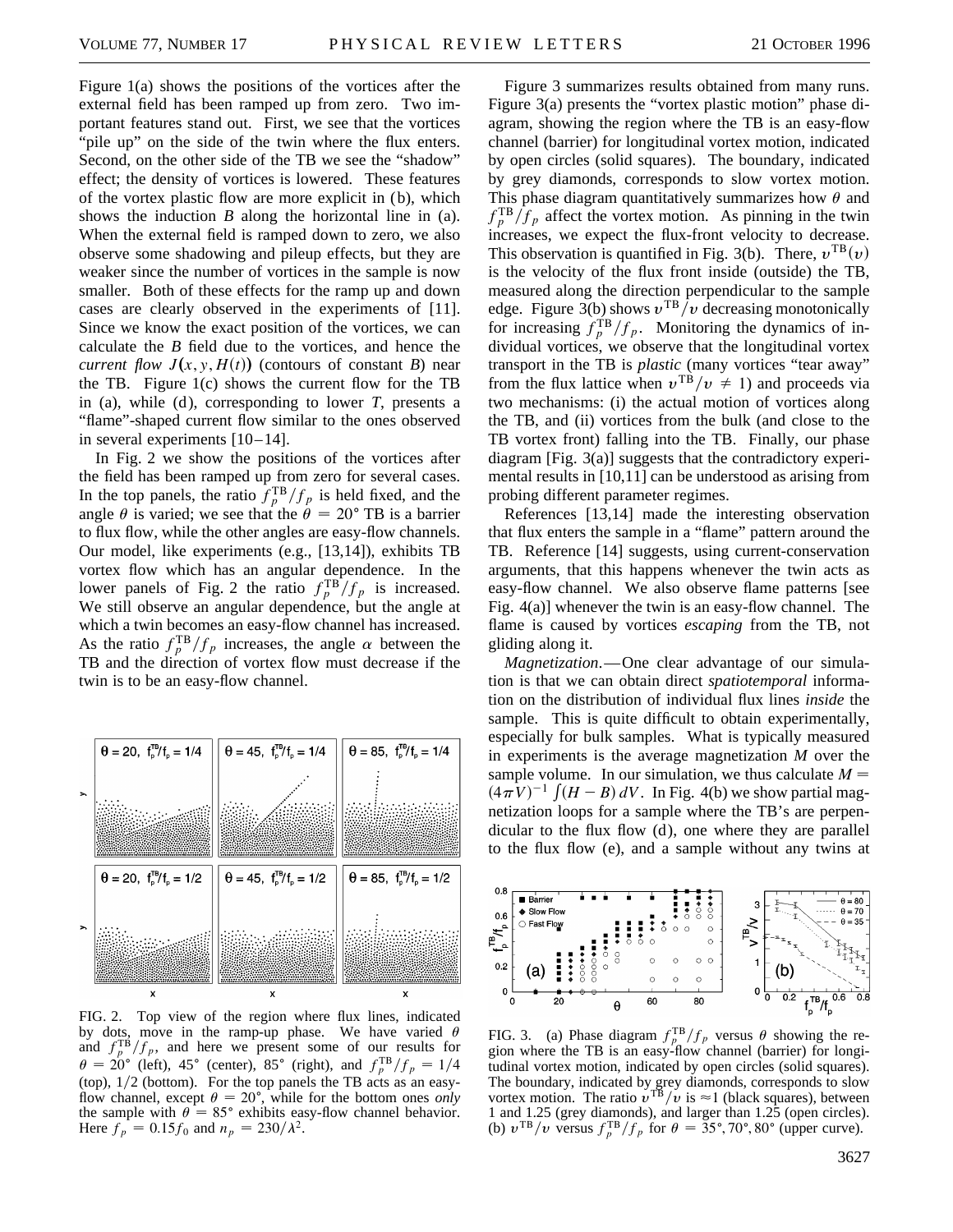Figure 1(a) shows the positions of the vortices after the external field has been ramped up from zero. Two important features stand out. First, we see that the vortices "pile up" on the side of the twin where the flux enters. Second, on the other side of the TB we see the "shadow" effect; the density of vortices is lowered. These features of the vortex plastic flow are more explicit in (b), which shows the induction *B* along the horizontal line in (a). When the external field is ramped down to zero, we also observe some shadowing and pileup effects, but they are weaker since the number of vortices in the sample is now smaller. Both of these effects for the ramp up and down cases are clearly observed in the experiments of [11]. Since we know the exact position of the vortices, we can calculate the *B* field due to the vortices, and hence the *current flow*  $J(x, y, H(t))$  *(contours of constant <i>B*) near the TB. Figure 1(c) shows the current flow for the TB in (a), while (d), corresponding to lower  $T$ , presents a "flame"-shaped current flow similar to the ones observed in several experiments [10–14].

In Fig. 2 we show the positions of the vortices after the field has been ramped up from zero for several cases. In the top panels, the ratio  $f_p^{TB}/f_p$  is held fixed, and the angle  $\theta$  is varied; we see that the  $\theta = 20^{\circ}$  TB is a barrier to flux flow, while the other angles are easy-flow channels. Our model, like experiments (e.g., [13,14]), exhibits TB vortex flow which has an angular dependence. In the lower panels of Fig. 2 the ratio  $f_p^{TB}/f_p$  is increased. We still observe an angular dependence, but the angle at which a twin becomes an easy-flow channel has increased. As the ratio  $f_p^{TB}/f_p$  increases, the angle  $\alpha$  between the TB and the direction of vortex flow must decrease if the twin is to be an easy-flow channel.



FIG. 2. Top view of the region where flux lines, indicated by dots, move in the ramp-up phase. We have varied  $\theta$ and  $f_p^{TB}/f_p$ , and here we present some of our results for  $\theta = 20^{\circ}$  (left), 45<sup>o</sup> (center), 85<sup>o</sup> (right), and  $f_p^{TB}/f_p = 1/4$ (top),  $1/2$  (bottom). For the top panels the TB acts as an easyflow channel, except  $\theta = 20^{\circ}$ , while for the bottom ones *only* the sample with  $\theta = 85^{\circ}$  exhibits easy-flow channel behavior. Here  $f_p = 0.15f_0$  and  $n_p = 230/\lambda^2$ .

Figure 3 summarizes results obtained from many runs. Figure 3(a) presents the "vortex plastic motion" phase diagram, showing the region where the TB is an easy-flow channel (barrier) for longitudinal vortex motion, indicated by open circles (solid squares). The boundary, indicated by grey diamonds, corresponds to slow vortex motion. This phase diagram quantitatively summarizes how  $\theta$  and  $f_p^{TB}/f_p$  affect the vortex motion. As pinning in the twin increases, we expect the flux-front velocity to decrease. This observation is quantified in Fig. 3(b). There,  $v^{TB}(v)$ is the velocity of the flux front inside (outside) the TB, measured along the direction perpendicular to the sample edge. Figure 3(b) shows  $v^{TB}/v$  decreasing monotonically for increasing  $f_p^{TB}/f_p$ . Monitoring the dynamics of individual vortices, we observe that the longitudinal vortex transport in the TB is *plastic* (many vortices "tear away" from the flux lattice when  $v^{TB}/v \neq 1$ ) and proceeds via two mechanisms: (i) the actual motion of vortices along the TB, and (ii) vortices from the bulk (and close to the TB vortex front) falling into the TB. Finally, our phase diagram [Fig. 3(a)] suggests that the contradictory experimental results in [10,11] can be understood as arising from probing different parameter regimes.

References [13,14] made the interesting observation that flux enters the sample in a "flame" pattern around the TB. Reference [14] suggests, using current-conservation arguments, that this happens whenever the twin acts as easy-flow channel. We also observe flame patterns [see Fig. 4(a)] whenever the twin is an easy-flow channel. The flame is caused by vortices *escaping* from the TB, not gliding along it.

*Magnetization*.—One clear advantage of our simulation is that we can obtain direct *spatiotemporal* information on the distribution of individual flux lines *inside* the sample. This is quite difficult to obtain experimentally, especially for bulk samples. What is typically measured in experiments is the average magnetization *M* over the sample volume. In our simulation, we thus calculate  $M =$ sample volume. In our simulation, we thus calculate  $M -$ <br> $(4\pi V)^{-1} \int (H - B) dV$ . In Fig. 4(b) we show partial magnetization loops for a sample where the TB's are perpendicular to the flux flow (d), one where they are parallel to the flux flow (e), and a sample without any twins at



FIG. 3. (a) Phase diagram  $f_p^{TB}/f_p$  versus  $\theta$  showing the region where the TB is an easy-flow channel (barrier) for longitudinal vortex motion, indicated by open circles (solid squares). The boundary, indicated by grey diamonds, corresponds to slow vortex motion. The ratio  $v^{TB}/v$  is  $\approx$  1 (black squares), between 1 and 1.25 (grey diamonds), and larger than 1.25 (open circles). (b)  $v^{TB}/v$  versus  $f_p^{TB}/f_p$  for  $\theta = 35^\circ, 70^\circ, 80^\circ$  (upper curve).